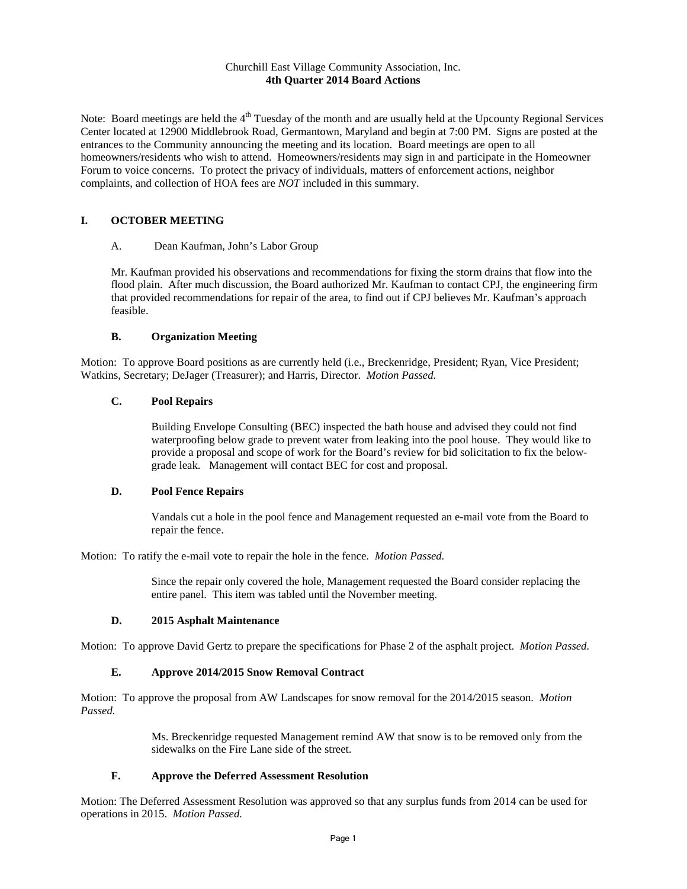#### Churchill East Village Community Association, Inc. **4th Quarter 2014 Board Actions**

Note: Board meetings are held the  $4<sup>th</sup>$  Tuesday of the month and are usually held at the Upcounty Regional Services Center located at 12900 Middlebrook Road, Germantown, Maryland and begin at 7:00 PM. Signs are posted at the entrances to the Community announcing the meeting and its location. Board meetings are open to all homeowners/residents who wish to attend. Homeowners/residents may sign in and participate in the Homeowner Forum to voice concerns. To protect the privacy of individuals, matters of enforcement actions, neighbor complaints, and collection of HOA fees are *NOT* included in this summary.

## **I. OCTOBER MEETING**

#### A. Dean Kaufman, John's Labor Group

Mr. Kaufman provided his observations and recommendations for fixing the storm drains that flow into the flood plain. After much discussion, the Board authorized Mr. Kaufman to contact CPJ, the engineering firm that provided recommendations for repair of the area, to find out if CPJ believes Mr. Kaufman's approach feasible.

### **B. Organization Meeting**

Motion: To approve Board positions as are currently held (i.e., Breckenridge, President; Ryan, Vice President; Watkins, Secretary; DeJager (Treasurer); and Harris, Director. *Motion Passed.*

### **C. Pool Repairs**

Building Envelope Consulting (BEC) inspected the bath house and advised they could not find waterproofing below grade to prevent water from leaking into the pool house. They would like to provide a proposal and scope of work for the Board's review for bid solicitation to fix the belowgrade leak. Management will contact BEC for cost and proposal.

### **D. Pool Fence Repairs**

Vandals cut a hole in the pool fence and Management requested an e-mail vote from the Board to repair the fence.

Motion: To ratify the e-mail vote to repair the hole in the fence. *Motion Passed.* 

Since the repair only covered the hole, Management requested the Board consider replacing the entire panel. This item was tabled until the November meeting.

## **D. 2015 Asphalt Maintenance**

Motion: To approve David Gertz to prepare the specifications for Phase 2 of the asphalt project. *Motion Passed.*

### **E. Approve 2014/2015 Snow Removal Contract**

Motion: To approve the proposal from AW Landscapes for snow removal for the 2014/2015 season. *Motion Passed.*

> Ms. Breckenridge requested Management remind AW that snow is to be removed only from the sidewalks on the Fire Lane side of the street.

### **F. Approve the Deferred Assessment Resolution**

Motion: The Deferred Assessment Resolution was approved so that any surplus funds from 2014 can be used for operations in 2015. *Motion Passed.*